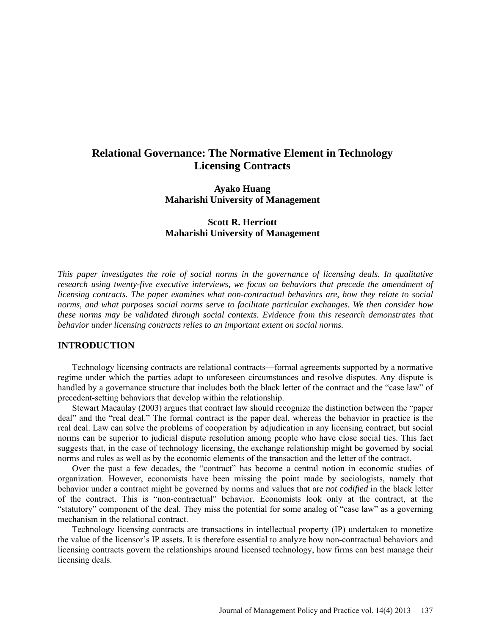# **Relational Governance: The Normative Element in Technology Licensing Contracts**

**Ayako Huang Maharishi University of Management**

# **Scott R. Herriott Maharishi University of Management**

*This paper investigates the role of social norms in the governance of licensing deals. In qualitative research using twenty-five executive interviews, we focus on behaviors that precede the amendment of licensing contracts. The paper examines what non-contractual behaviors are, how they relate to social norms, and what purposes social norms serve to facilitate particular exchanges. We then consider how these norms may be validated through social contexts. Evidence from this research demonstrates that behavior under licensing contracts relies to an important extent on social norms.* 

# **INTRODUCTION**

Technology licensing contracts are relational contracts—formal agreements supported by a normative regime under which the parties adapt to unforeseen circumstances and resolve disputes. Any dispute is handled by a governance structure that includes both the black letter of the contract and the "case law" of precedent-setting behaviors that develop within the relationship.

Stewart Macaulay (2003) argues that contract law should recognize the distinction between the "paper deal" and the "real deal." The formal contract is the paper deal, whereas the behavior in practice is the real deal. Law can solve the problems of cooperation by adjudication in any licensing contract, but social norms can be superior to judicial dispute resolution among people who have close social ties. This fact suggests that, in the case of technology licensing, the exchange relationship might be governed by social norms and rules as well as by the economic elements of the transaction and the letter of the contract.

Over the past a few decades, the "contract" has become a central notion in economic studies of organization. However, economists have been missing the point made by sociologists, namely that behavior under a contract might be governed by norms and values that are *not codified* in the black letter of the contract. This is "non-contractual" behavior. Economists look only at the contract, at the "statutory" component of the deal. They miss the potential for some analog of "case law" as a governing mechanism in the relational contract.

Technology licensing contracts are transactions in intellectual property (IP) undertaken to monetize the value of the licensor's IP assets. It is therefore essential to analyze how non-contractual behaviors and licensing contracts govern the relationships around licensed technology, how firms can best manage their licensing deals.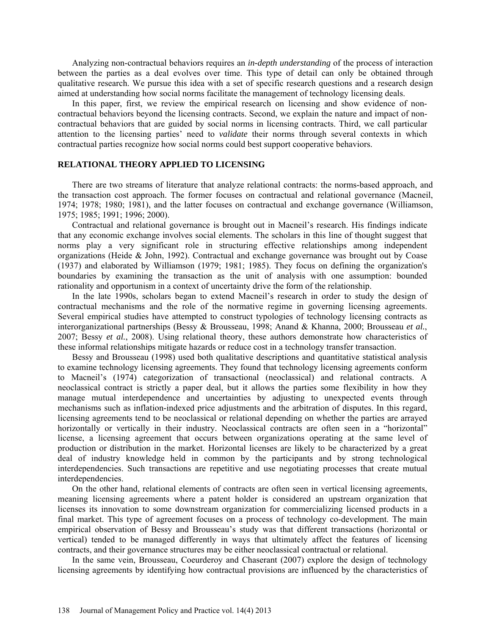Analyzing non-contractual behaviors requires an *in-depth understanding* of the process of interaction between the parties as a deal evolves over time. This type of detail can only be obtained through qualitative research. We pursue this idea with a set of specific research questions and a research design aimed at understanding how social norms facilitate the management of technology licensing deals.

In this paper, first, we review the empirical research on licensing and show evidence of noncontractual behaviors beyond the licensing contracts. Second, we explain the nature and impact of noncontractual behaviors that are guided by social norms in licensing contracts. Third, we call particular attention to the licensing parties' need to *validate* their norms through several contexts in which contractual parties recognize how social norms could best support cooperative behaviors.

# **RELATIONAL THEORY APPLIED TO LICENSING**

There are two streams of literature that analyze relational contracts: the norms-based approach, and the transaction cost approach. The former focuses on contractual and relational governance (Macneil, 1974; 1978; 1980; 1981), and the latter focuses on contractual and exchange governance (Williamson, 1975; 1985; 1991; 1996; 2000).

Contractual and relational governance is brought out in Macneil's research. His findings indicate that any economic exchange involves social elements. The scholars in this line of thought suggest that norms play a very significant role in structuring effective relationships among independent organizations (Heide & John, 1992). Contractual and exchange governance was brought out by Coase (1937) and elaborated by Williamson (1979; 1981; 1985). They focus on defining the organization's boundaries by examining the transaction as the unit of analysis with one assumption: bounded rationality and opportunism in a context of uncertainty drive the form of the relationship.

In the late 1990s, scholars began to extend Macneil's research in order to study the design of contractual mechanisms and the role of the normative regime in governing licensing agreements. Several empirical studies have attempted to construct typologies of technology licensing contracts as interorganizational partnerships (Bessy & Brousseau, 1998; Anand & Khanna, 2000; Brousseau *et al.*, 2007; Bessy *et al.*, 2008). Using relational theory, these authors demonstrate how characteristics of these informal relationships mitigate hazards or reduce cost in a technology transfer transaction.

Bessy and Brousseau (1998) used both qualitative descriptions and quantitative statistical analysis to examine technology licensing agreements. They found that technology licensing agreements conform to Macneil's (1974) categorization of transactional (neoclassical) and relational contracts. A neoclassical contract is strictly a paper deal, but it allows the parties some flexibility in how they manage mutual interdependence and uncertainties by adjusting to unexpected events through mechanisms such as inflation-indexed price adjustments and the arbitration of disputes. In this regard, licensing agreements tend to be neoclassical or relational depending on whether the parties are arrayed horizontally or vertically in their industry. Neoclassical contracts are often seen in a "horizontal" license, a licensing agreement that occurs between organizations operating at the same level of production or distribution in the market. Horizontal licenses are likely to be characterized by a great deal of industry knowledge held in common by the participants and by strong technological interdependencies. Such transactions are repetitive and use negotiating processes that create mutual interdependencies.

On the other hand, relational elements of contracts are often seen in vertical licensing agreements, meaning licensing agreements where a patent holder is considered an upstream organization that licenses its innovation to some downstream organization for commercializing licensed products in a final market. This type of agreement focuses on a process of technology co-development. The main empirical observation of Bessy and Brousseau's study was that different transactions (horizontal or vertical) tended to be managed differently in ways that ultimately affect the features of licensing contracts, and their governance structures may be either neoclassical contractual or relational.

In the same vein, Brousseau, Coeurderoy and Chaserant (2007) explore the design of technology licensing agreements by identifying how contractual provisions are influenced by the characteristics of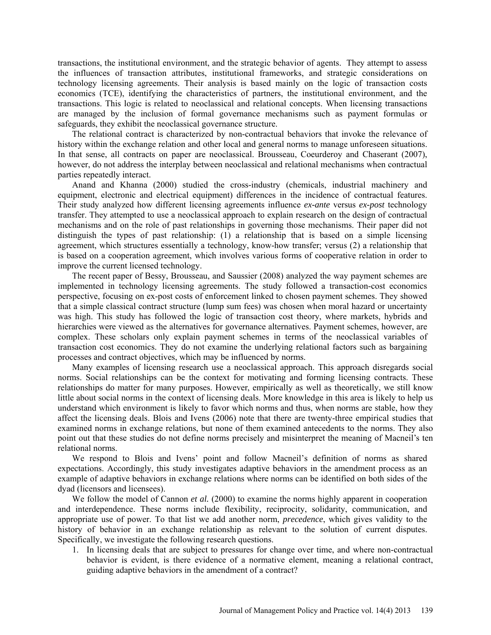transactions, the institutional environment, and the strategic behavior of agents. They attempt to assess the influences of transaction attributes, institutional frameworks, and strategic considerations on technology licensing agreements. Their analysis is based mainly on the logic of transaction costs economics (TCE), identifying the characteristics of partners, the institutional environment, and the transactions. This logic is related to neoclassical and relational concepts. When licensing transactions are managed by the inclusion of formal governance mechanisms such as payment formulas or safeguards, they exhibit the neoclassical governance structure.

The relational contract is characterized by non-contractual behaviors that invoke the relevance of history within the exchange relation and other local and general norms to manage unforeseen situations. In that sense, all contracts on paper are neoclassical. Brousseau, Coeurderoy and Chaserant (2007), however, do not address the interplay between neoclassical and relational mechanisms when contractual parties repeatedly interact.

Anand and Khanna (2000) studied the cross-industry (chemicals, industrial machinery and equipment, electronic and electrical equipment) differences in the incidence of contractual features. Their study analyzed how different licensing agreements influence *ex-ante* versus *ex-post* technology transfer. They attempted to use a neoclassical approach to explain research on the design of contractual mechanisms and on the role of past relationships in governing those mechanisms. Their paper did not distinguish the types of past relationship: (1) a relationship that is based on a simple licensing agreement, which structures essentially a technology, know-how transfer; versus (2) a relationship that is based on a cooperation agreement, which involves various forms of cooperative relation in order to improve the current licensed technology.

The recent paper of Bessy, Brousseau, and Saussier (2008) analyzed the way payment schemes are implemented in technology licensing agreements. The study followed a transaction-cost economics perspective, focusing on ex-post costs of enforcement linked to chosen payment schemes. They showed that a simple classical contract structure (lump sum fees) was chosen when moral hazard or uncertainty was high. This study has followed the logic of transaction cost theory, where markets, hybrids and hierarchies were viewed as the alternatives for governance alternatives. Payment schemes, however, are complex. These scholars only explain payment schemes in terms of the neoclassical variables of transaction cost economics. They do not examine the underlying relational factors such as bargaining processes and contract objectives, which may be influenced by norms.

Many examples of licensing research use a neoclassical approach. This approach disregards social norms. Social relationships can be the context for motivating and forming licensing contracts. These relationships do matter for many purposes. However, empirically as well as theoretically, we still know little about social norms in the context of licensing deals. More knowledge in this area is likely to help us understand which environment is likely to favor which norms and thus, when norms are stable, how they affect the licensing deals. Blois and Ivens (2006) note that there are twenty-three empirical studies that examined norms in exchange relations, but none of them examined antecedents to the norms. They also point out that these studies do not define norms precisely and misinterpret the meaning of Macneil's ten relational norms.

We respond to Blois and Ivens' point and follow Macneil's definition of norms as shared expectations. Accordingly, this study investigates adaptive behaviors in the amendment process as an example of adaptive behaviors in exchange relations where norms can be identified on both sides of the dyad (licensors and licensees).

We follow the model of Cannon *et al.* (2000) to examine the norms highly apparent in cooperation and interdependence. These norms include flexibility, reciprocity, solidarity, communication, and appropriate use of power. To that list we add another norm, *precedence*, which gives validity to the history of behavior in an exchange relationship as relevant to the solution of current disputes. Specifically, we investigate the following research questions.

1. In licensing deals that are subject to pressures for change over time, and where non-contractual behavior is evident, is there evidence of a normative element, meaning a relational contract, guiding adaptive behaviors in the amendment of a contract?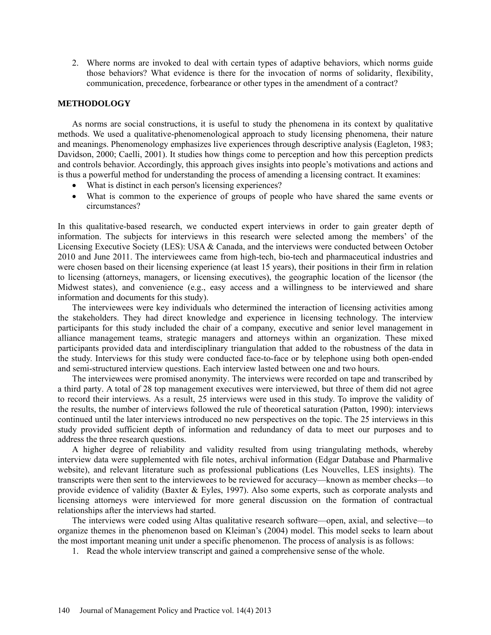2. Where norms are invoked to deal with certain types of adaptive behaviors, which norms guide those behaviors? What evidence is there for the invocation of norms of solidarity, flexibility, communication, precedence, forbearance or other types in the amendment of a contract?

# **METHODOLOGY**

As norms are social constructions, it is useful to study the phenomena in its context by qualitative methods. We used a qualitative-phenomenological approach to study licensing phenomena, their nature and meanings. Phenomenology emphasizes live experiences through descriptive analysis (Eagleton, 1983; Davidson, 2000; Caelli, 2001). It studies how things come to perception and how this perception predicts and controls behavior. Accordingly, this approach gives insights into people's motivations and actions and is thus a powerful method for understanding the process of amending a licensing contract. It examines:

- What is distinct in each person's licensing experiences?
- What is common to the experience of groups of people who have shared the same events or circumstances?

In this qualitative-based research, we conducted expert interviews in order to gain greater depth of information. The subjects for interviews in this research were selected among the members' of the Licensing Executive Society (LES): USA & Canada, and the interviews were conducted between October 2010 and June 2011. The interviewees came from high-tech, bio-tech and pharmaceutical industries and were chosen based on their licensing experience (at least 15 years), their positions in their firm in relation to licensing (attorneys, managers, or licensing executives), the geographic location of the licensor (the Midwest states), and convenience (e.g., easy access and a willingness to be interviewed and share information and documents for this study).

The interviewees were key individuals who determined the interaction of licensing activities among the stakeholders. They had direct knowledge and experience in licensing technology. The interview participants for this study included the chair of a company, executive and senior level management in alliance management teams, strategic managers and attorneys within an organization. These mixed participants provided data and interdisciplinary triangulation that added to the robustness of the data in the study. Interviews for this study were conducted face-to-face or by telephone using both open-ended and semi-structured interview questions. Each interview lasted between one and two hours.

The interviewees were promised anonymity. The interviews were recorded on tape and transcribed by a third party. A total of 28 top management executives were interviewed, but three of them did not agree to record their interviews. As a result, 25 interviews were used in this study. To improve the validity of the results, the number of interviews followed the rule of theoretical saturation (Patton, 1990): interviews continued until the later interviews introduced no new perspectives on the topic. The 25 interviews in this study provided sufficient depth of information and redundancy of data to meet our purposes and to address the three research questions.

A higher degree of reliability and validity resulted from using triangulating methods, whereby interview data were supplemented with file notes, archival information (Edgar Database and Pharmalive website), and relevant literature such as professional publications (Les Nouvelles, LES insights). The transcripts were then sent to the interviewees to be reviewed for accuracy—known as member checks—to provide evidence of validity (Baxter & Eyles, 1997). Also some experts, such as corporate analysts and licensing attorneys were interviewed for more general discussion on the formation of contractual relationships after the interviews had started.

The interviews were coded using Altas qualitative research software—open, axial, and selective—to organize themes in the phenomenon based on Kleiman's (2004) model. This model seeks to learn about the most important meaning unit under a specific phenomenon. The process of analysis is as follows:

1. Read the whole interview transcript and gained a comprehensive sense of the whole.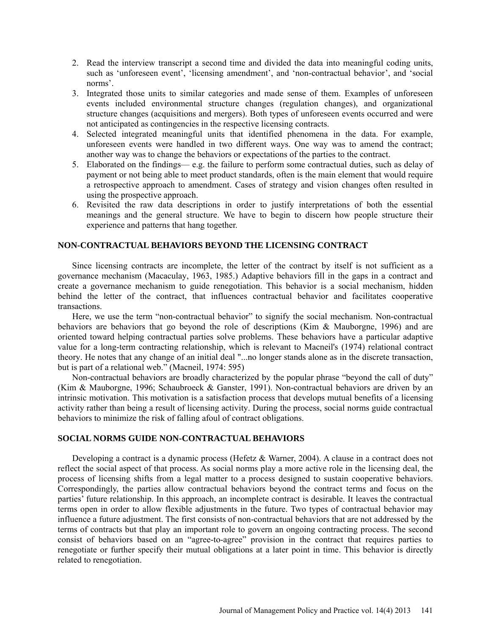- 2. Read the interview transcript a second time and divided the data into meaningful coding units, such as 'unforeseen event', 'licensing amendment', and 'non-contractual behavior', and 'social norms'.
- 3. Integrated those units to similar categories and made sense of them. Examples of unforeseen events included environmental structure changes (regulation changes), and organizational structure changes (acquisitions and mergers). Both types of unforeseen events occurred and were not anticipated as contingencies in the respective licensing contracts.
- 4. Selected integrated meaningful units that identified phenomena in the data. For example, unforeseen events were handled in two different ways. One way was to amend the contract; another way was to change the behaviors or expectations of the parties to the contract.
- 5. Elaborated on the findings— e.g. the failure to perform some contractual duties, such as delay of payment or not being able to meet product standards, often is the main element that would require a retrospective approach to amendment. Cases of strategy and vision changes often resulted in using the prospective approach.
- 6. Revisited the raw data descriptions in order to justify interpretations of both the essential meanings and the general structure. We have to begin to discern how people structure their experience and patterns that hang together.

## **NON-CONTRACTUAL BEHAVIORS BEYOND THE LICENSING CONTRACT**

Since licensing contracts are incomplete, the letter of the contract by itself is not sufficient as a governance mechanism (Macaculay, 1963, 1985.) Adaptive behaviors fill in the gaps in a contract and create a governance mechanism to guide renegotiation. This behavior is a social mechanism, hidden behind the letter of the contract, that influences contractual behavior and facilitates cooperative transactions.

Here, we use the term "non-contractual behavior" to signify the social mechanism. Non-contractual behaviors are behaviors that go beyond the role of descriptions (Kim & Mauborgne, 1996) and are oriented toward helping contractual parties solve problems. These behaviors have a particular adaptive value for a long-term contracting relationship, which is relevant to Macneil's (1974) relational contract theory. He notes that any change of an initial deal "...no longer stands alone as in the discrete transaction, but is part of a relational web." (Macneil, 1974: 595)

Non-contractual behaviors are broadly characterized by the popular phrase "beyond the call of duty" (Kim & Mauborgne, 1996; Schaubroeck & Ganster, 1991). Non-contractual behaviors are driven by an intrinsic motivation. This motivation is a satisfaction process that develops mutual benefits of a licensing activity rather than being a result of licensing activity. During the process, social norms guide contractual behaviors to minimize the risk of falling afoul of contract obligations.

# **SOCIAL NORMS GUIDE NON-CONTRACTUAL BEHAVIORS**

Developing a contract is a dynamic process (Hefetz & Warner, 2004). A clause in a contract does not reflect the social aspect of that process. As social norms play a more active role in the licensing deal, the process of licensing shifts from a legal matter to a process designed to sustain cooperative behaviors. Correspondingly, the parties allow contractual behaviors beyond the contract terms and focus on the parties' future relationship. In this approach, an incomplete contract is desirable. It leaves the contractual terms open in order to allow flexible adjustments in the future. Two types of contractual behavior may influence a future adjustment. The first consists of non-contractual behaviors that are not addressed by the terms of contracts but that play an important role to govern an ongoing contracting process. The second consist of behaviors based on an "agree-to-agree" provision in the contract that requires parties to renegotiate or further specify their mutual obligations at a later point in time. This behavior is directly related to renegotiation.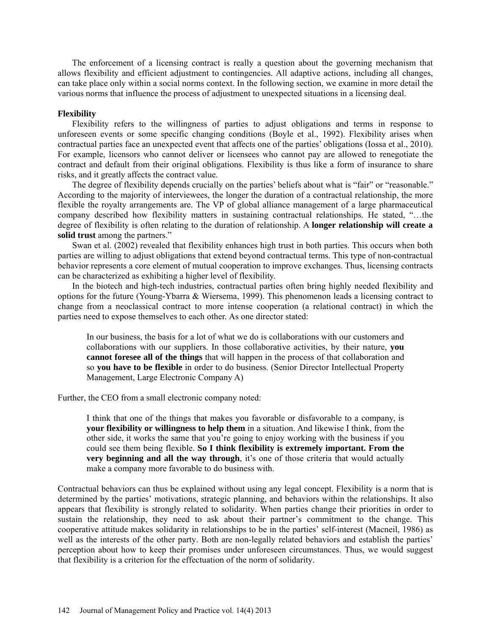The enforcement of a licensing contract is really a question about the governing mechanism that allows flexibility and efficient adjustment to contingencies. All adaptive actions, including all changes, can take place only within a social norms context. In the following section, we examine in more detail the various norms that influence the process of adjustment to unexpected situations in a licensing deal.

#### **Flexibility**

Flexibility refers to the willingness of parties to adjust obligations and terms in response to unforeseen events or some specific changing conditions (Boyle et al., 1992). Flexibility arises when contractual parties face an unexpected event that affects one of the parties' obligations (Iossa et al., 2010). For example, licensors who cannot deliver or licensees who cannot pay are allowed to renegotiate the contract and default from their original obligations. Flexibility is thus like a form of insurance to share risks, and it greatly affects the contract value.

The degree of flexibility depends crucially on the parties' beliefs about what is "fair" or "reasonable." According to the majority of interviewees, the longer the duration of a contractual relationship, the more flexible the royalty arrangements are. The VP of global alliance management of a large pharmaceutical company described how flexibility matters in sustaining contractual relationships. He stated, "…the degree of flexibility is often relating to the duration of relationship. A **longer relationship will create a solid trust** among the partners."

Swan et al. (2002) revealed that flexibility enhances high trust in both parties. This occurs when both parties are willing to adjust obligations that extend beyond contractual terms. This type of non-contractual behavior represents a core element of mutual cooperation to improve exchanges. Thus, licensing contracts can be characterized as exhibiting a higher level of flexibility.

In the biotech and high-tech industries, contractual parties often bring highly needed flexibility and options for the future (Young-Ybarra & Wiersema, 1999). This phenomenon leads a licensing contract to change from a neoclassical contract to more intense cooperation (a relational contract) in which the parties need to expose themselves to each other. As one director stated:

In our business, the basis for a lot of what we do is collaborations with our customers and collaborations with our suppliers. In those collaborative activities, by their nature, **you cannot foresee all of the things** that will happen in the process of that collaboration and so **you have to be flexible** in order to do business. (Senior Director Intellectual Property Management, Large Electronic Company A)

Further, the CEO from a small electronic company noted:

I think that one of the things that makes you favorable or disfavorable to a company, is **your flexibility or willingness to help them** in a situation. And likewise I think, from the other side, it works the same that you're going to enjoy working with the business if you could see them being flexible. **So I think flexibility is extremely important. From the very beginning and all the way through**, it's one of those criteria that would actually make a company more favorable to do business with.

Contractual behaviors can thus be explained without using any legal concept. Flexibility is a norm that is determined by the parties' motivations, strategic planning, and behaviors within the relationships. It also appears that flexibility is strongly related to solidarity. When parties change their priorities in order to sustain the relationship, they need to ask about their partner's commitment to the change. This cooperative attitude makes solidarity in relationships to be in the parties' self-interest (Macneil, 1986) as well as the interests of the other party. Both are non-legally related behaviors and establish the parties' perception about how to keep their promises under unforeseen circumstances. Thus, we would suggest that flexibility is a criterion for the effectuation of the norm of solidarity.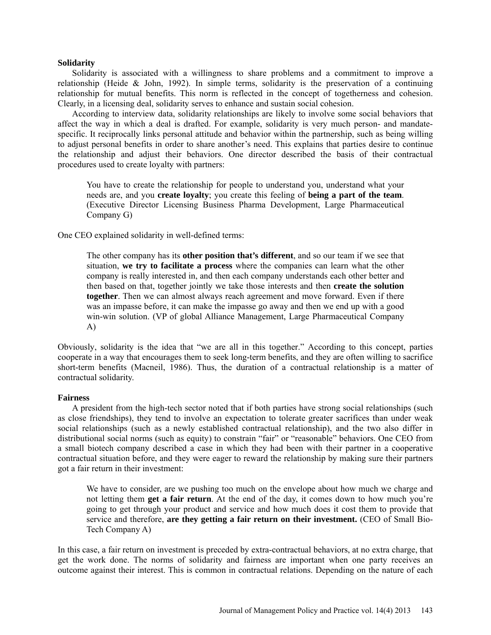#### **Solidarity**

Solidarity is associated with a willingness to share problems and a commitment to improve a relationship (Heide & John, 1992). In simple terms, solidarity is the preservation of a continuing relationship for mutual benefits. This norm is reflected in the concept of togetherness and cohesion. Clearly, in a licensing deal, solidarity serves to enhance and sustain social cohesion.

According to interview data, solidarity relationships are likely to involve some social behaviors that affect the way in which a deal is drafted. For example, solidarity is very much person- and mandatespecific. It reciprocally links personal attitude and behavior within the partnership, such as being willing to adjust personal benefits in order to share another's need. This explains that parties desire to continue the relationship and adjust their behaviors. One director described the basis of their contractual procedures used to create loyalty with partners:

You have to create the relationship for people to understand you, understand what your needs are, and you **create loyalty**; you create this feeling of **being a part of the team**. (Executive Director Licensing Business Pharma Development, Large Pharmaceutical Company G)

One CEO explained solidarity in well-defined terms:

The other company has its **other position that's different**, and so our team if we see that situation, **we try to facilitate a process** where the companies can learn what the other company is really interested in, and then each company understands each other better and then based on that, together jointly we take those interests and then **create the solution together**. Then we can almost always reach agreement and move forward. Even if there was an impasse before, it can make the impasse go away and then we end up with a good win-win solution. (VP of global Alliance Management, Large Pharmaceutical Company A)

Obviously, solidarity is the idea that "we are all in this together." According to this concept, parties cooperate in a way that encourages them to seek long-term benefits, and they are often willing to sacrifice short-term benefits (Macneil, 1986). Thus, the duration of a contractual relationship is a matter of contractual solidarity.

## **Fairness**

A president from the high-tech sector noted that if both parties have strong social relationships (such as close friendships), they tend to involve an expectation to tolerate greater sacrifices than under weak social relationships (such as a newly established contractual relationship), and the two also differ in distributional social norms (such as equity) to constrain "fair" or "reasonable" behaviors. One CEO from a small biotech company described a case in which they had been with their partner in a cooperative contractual situation before, and they were eager to reward the relationship by making sure their partners got a fair return in their investment:

We have to consider, are we pushing too much on the envelope about how much we charge and not letting them **get a fair return**. At the end of the day, it comes down to how much you're going to get through your product and service and how much does it cost them to provide that service and therefore, **are they getting a fair return on their investment.** (CEO of Small Bio-Tech Company A)

In this case, a fair return on investment is preceded by extra-contractual behaviors, at no extra charge, that get the work done. The norms of solidarity and fairness are important when one party receives an outcome against their interest. This is common in contractual relations. Depending on the nature of each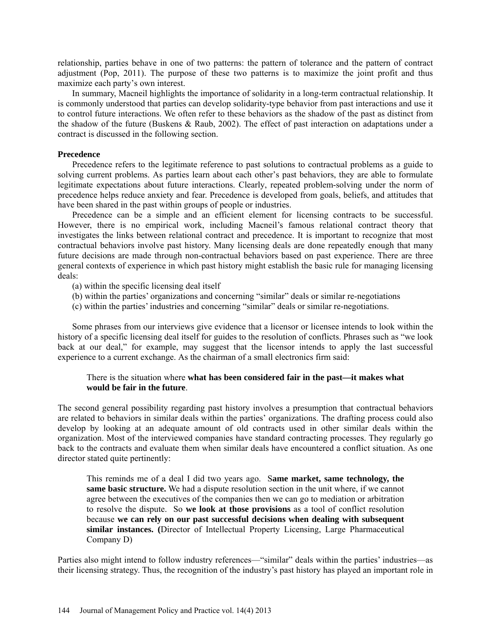relationship, parties behave in one of two patterns: the pattern of tolerance and the pattern of contract adjustment (Pop, 2011). The purpose of these two patterns is to maximize the joint profit and thus maximize each party's own interest.

In summary, Macneil highlights the importance of solidarity in a long-term contractual relationship. It is commonly understood that parties can develop solidarity-type behavior from past interactions and use it to control future interactions. We often refer to these behaviors as the shadow of the past as distinct from the shadow of the future (Buskens & Raub, 2002). The effect of past interaction on adaptations under a contract is discussed in the following section.

#### **Precedence**

Precedence refers to the legitimate reference to past solutions to contractual problems as a guide to solving current problems. As parties learn about each other's past behaviors, they are able to formulate legitimate expectations about future interactions. Clearly, repeated problem-solving under the norm of precedence helps reduce anxiety and fear. Precedence is developed from goals, beliefs, and attitudes that have been shared in the past within groups of people or industries.

Precedence can be a simple and an efficient element for licensing contracts to be successful. However, there is no empirical work, including Macneil's famous relational contract theory that investigates the links between relational contract and precedence. It is important to recognize that most contractual behaviors involve past history. Many licensing deals are done repeatedly enough that many future decisions are made through non-contractual behaviors based on past experience. There are three general contexts of experience in which past history might establish the basic rule for managing licensing deals:

- (a) within the specific licensing deal itself
- (b) within the parties' organizations and concerning "similar" deals or similar re-negotiations
- (c) within the parties' industries and concerning "similar" deals or similar re-negotiations.

Some phrases from our interviews give evidence that a licensor or licensee intends to look within the history of a specific licensing deal itself for guides to the resolution of conflicts. Phrases such as "we look back at our deal," for example, may suggest that the licensor intends to apply the last successful experience to a current exchange. As the chairman of a small electronics firm said:

# There is the situation where **what has been considered fair in the past—it makes what would be fair in the future**.

The second general possibility regarding past history involves a presumption that contractual behaviors are related to behaviors in similar deals within the parties' organizations. The drafting process could also develop by looking at an adequate amount of old contracts used in other similar deals within the organization. Most of the interviewed companies have standard contracting processes. They regularly go back to the contracts and evaluate them when similar deals have encountered a conflict situation. As one director stated quite pertinently:

This reminds me of a deal I did two years ago. S**ame market, same technology, the same basic structure.** We had a dispute resolution section in the unit where, if we cannot agree between the executives of the companies then we can go to mediation or arbitration to resolve the dispute. So **we look at those provisions** as a tool of conflict resolution because **we can rely on our past successful decisions when dealing with subsequent similar instances. (**Director of Intellectual Property Licensing, Large Pharmaceutical Company D)

Parties also might intend to follow industry references—"similar" deals within the parties' industries—as their licensing strategy. Thus, the recognition of the industry's past history has played an important role in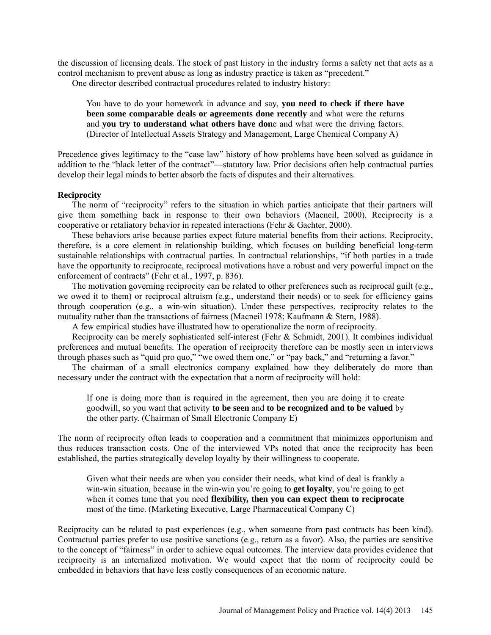the discussion of licensing deals. The stock of past history in the industry forms a safety net that acts as a control mechanism to prevent abuse as long as industry practice is taken as "precedent."

One director described contractual procedures related to industry history:

You have to do your homework in advance and say, **you need to check if there have been some comparable deals or agreements done recently** and what were the returns and **you try to understand what others have don**e and what were the driving factors. (Director of Intellectual Assets Strategy and Management, Large Chemical Company A)

Precedence gives legitimacy to the "case law" history of how problems have been solved as guidance in addition to the "black letter of the contract"—statutory law. Prior decisions often help contractual parties develop their legal minds to better absorb the facts of disputes and their alternatives.

# **Reciprocity**

The norm of "reciprocity" refers to the situation in which parties anticipate that their partners will give them something back in response to their own behaviors (Macneil, 2000). Reciprocity is a cooperative or retaliatory behavior in repeated interactions (Fehr & Gachter, 2000).

These behaviors arise because parties expect future material benefits from their actions. Reciprocity, therefore, is a core element in relationship building, which focuses on building beneficial long-term sustainable relationships with contractual parties. In contractual relationships, "if both parties in a trade have the opportunity to reciprocate, reciprocal motivations have a robust and very powerful impact on the enforcement of contracts" (Fehr et al., 1997, p. 836).

The motivation governing reciprocity can be related to other preferences such as reciprocal guilt (e.g., we owed it to them) or reciprocal altruism (e.g., understand their needs) or to seek for efficiency gains through cooperation (e.g., a win-win situation). Under these perspectives, reciprocity relates to the mutuality rather than the transactions of fairness (Macneil 1978; Kaufmann & Stern, 1988).

A few empirical studies have illustrated how to operationalize the norm of reciprocity.

Reciprocity can be merely sophisticated self-interest (Fehr & Schmidt, 2001). It combines individual preferences and mutual benefits. The operation of reciprocity therefore can be mostly seen in interviews through phases such as "quid pro quo," "we owed them one," or "pay back," and "returning a favor."

The chairman of a small electronics company explained how they deliberately do more than necessary under the contract with the expectation that a norm of reciprocity will hold:

If one is doing more than is required in the agreement, then you are doing it to create goodwill, so you want that activity **to be seen** and **to be recognized and to be valued** by the other party. (Chairman of Small Electronic Company E)

The norm of reciprocity often leads to cooperation and a commitment that minimizes opportunism and thus reduces transaction costs. One of the interviewed VPs noted that once the reciprocity has been established, the parties strategically develop loyalty by their willingness to cooperate.

Given what their needs are when you consider their needs, what kind of deal is frankly a win-win situation, because in the win-win you're going to **get loyalty**, you're going to get when it comes time that you need **flexibility, then you can expect them to reciprocate**  most of the time. (Marketing Executive, Large Pharmaceutical Company C)

Reciprocity can be related to past experiences (e.g., when someone from past contracts has been kind). Contractual parties prefer to use positive sanctions (e.g., return as a favor). Also, the parties are sensitive to the concept of "fairness" in order to achieve equal outcomes. The interview data provides evidence that reciprocity is an internalized motivation. We would expect that the norm of reciprocity could be embedded in behaviors that have less costly consequences of an economic nature.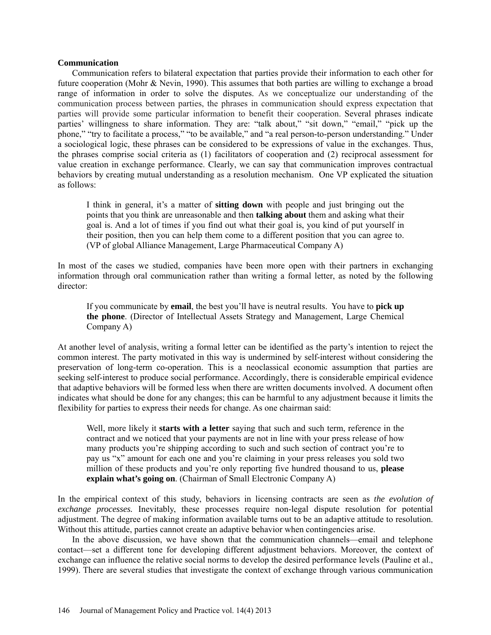#### **Communication**

Communication refers to bilateral expectation that parties provide their information to each other for future cooperation (Mohr & Nevin, 1990). This assumes that both parties are willing to exchange a broad range of information in order to solve the disputes. As we conceptualize our understanding of the communication process between parties, the phrases in communication should express expectation that parties will provide some particular information to benefit their cooperation. Several phrases indicate parties' willingness to share information. They are: "talk about," "sit down," "email," "pick up the phone," "try to facilitate a process," "to be available," and "a real person-to-person understanding." Under a sociological logic, these phrases can be considered to be expressions of value in the exchanges. Thus, the phrases comprise social criteria as (1) facilitators of cooperation and (2) reciprocal assessment for value creation in exchange performance. Clearly, we can say that communication improves contractual behaviors by creating mutual understanding as a resolution mechanism. One VP explicated the situation as follows:

I think in general, it's a matter of **sitting down** with people and just bringing out the points that you think are unreasonable and then **talking about** them and asking what their goal is. And a lot of times if you find out what their goal is, you kind of put yourself in their position, then you can help them come to a different position that you can agree to. (VP of global Alliance Management, Large Pharmaceutical Company A)

In most of the cases we studied, companies have been more open with their partners in exchanging information through oral communication rather than writing a formal letter, as noted by the following director:

If you communicate by **email**, the best you'll have is neutral results. You have to **pick up the phone**. (Director of Intellectual Assets Strategy and Management, Large Chemical Company A)

At another level of analysis, writing a formal letter can be identified as the party's intention to reject the common interest. The party motivated in this way is undermined by self-interest without considering the preservation of long-term co-operation. This is a neoclassical economic assumption that parties are seeking self-interest to produce social performance. Accordingly, there is considerable empirical evidence that adaptive behaviors will be formed less when there are written documents involved. A document often indicates what should be done for any changes; this can be harmful to any adjustment because it limits the flexibility for parties to express their needs for change. As one chairman said:

Well, more likely it **starts with a letter** saying that such and such term, reference in the contract and we noticed that your payments are not in line with your press release of how many products you're shipping according to such and such section of contract you're to pay us "x" amount for each one and you're claiming in your press releases you sold two million of these products and you're only reporting five hundred thousand to us, **please explain what's going on**. (Chairman of Small Electronic Company A)

In the empirical context of this study, behaviors in licensing contracts are seen as *the evolution of exchange processes.* Inevitably, these processes require non-legal dispute resolution for potential adjustment. The degree of making information available turns out to be an adaptive attitude to resolution. Without this attitude, parties cannot create an adaptive behavior when contingencies arise.

In the above discussion, we have shown that the communication channels—email and telephone contact—set a different tone for developing different adjustment behaviors. Moreover, the context of exchange can influence the relative social norms to develop the desired performance levels (Pauline et al., 1999). There are several studies that investigate the context of exchange through various communication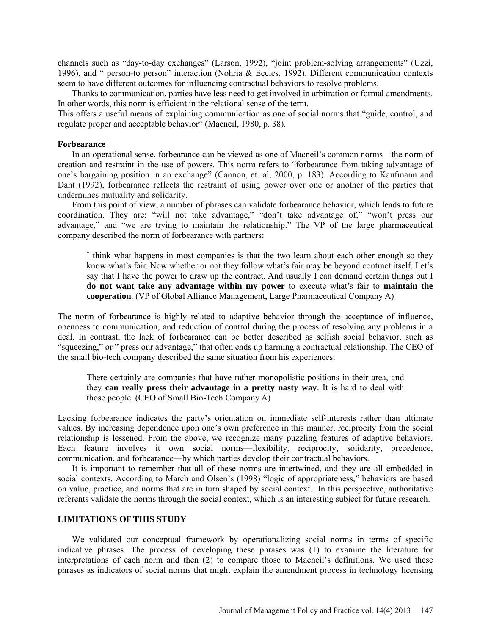channels such as "day-to-day exchanges" (Larson, 1992), "joint problem-solving arrangements" (Uzzi, 1996), and " person-to person" interaction (Nohria & Eccles, 1992). Different communication contexts seem to have different outcomes for influencing contractual behaviors to resolve problems.

Thanks to communication, parties have less need to get involved in arbitration or formal amendments. In other words, this norm is efficient in the relational sense of the term.

This offers a useful means of explaining communication as one of social norms that "guide, control, and regulate proper and acceptable behavior" (Macneil, 1980, p. 38).

#### **Forbearance**

In an operational sense, forbearance can be viewed as one of Macneil's common norms—the norm of creation and restraint in the use of powers. This norm refers to "forbearance from taking advantage of one's bargaining position in an exchange" (Cannon, et. al, 2000, p. 183). According to Kaufmann and Dant (1992), forbearance reflects the restraint of using power over one or another of the parties that undermines mutuality and solidarity.

From this point of view, a number of phrases can validate forbearance behavior, which leads to future coordination. They are: "will not take advantage," "don't take advantage of," "won't press our advantage," and "we are trying to maintain the relationship." The VP of the large pharmaceutical company described the norm of forbearance with partners:

I think what happens in most companies is that the two learn about each other enough so they know what's fair. Now whether or not they follow what's fair may be beyond contract itself. Let's say that I have the power to draw up the contract. And usually I can demand certain things but I **do not want take any advantage within my power** to execute what's fair to **maintain the cooperation**. (VP of Global Alliance Management, Large Pharmaceutical Company A)

The norm of forbearance is highly related to adaptive behavior through the acceptance of influence, openness to communication, and reduction of control during the process of resolving any problems in a deal. In contrast, the lack of forbearance can be better described as selfish social behavior, such as "squeezing," or " press our advantage," that often ends up harming a contractual relationship. The CEO of the small bio-tech company described the same situation from his experiences:

There certainly are companies that have rather monopolistic positions in their area, and they **can really press their advantage in a pretty nasty way**. It is hard to deal with those people. (CEO of Small Bio-Tech Company A)

Lacking forbearance indicates the party's orientation on immediate self-interests rather than ultimate values. By increasing dependence upon one's own preference in this manner, reciprocity from the social relationship is lessened. From the above, we recognize many puzzling features of adaptive behaviors. Each feature involves it own social norms—flexibility, reciprocity, solidarity, precedence, communication, and forbearance—by which parties develop their contractual behaviors.

It is important to remember that all of these norms are intertwined, and they are all embedded in social contexts. According to March and Olsen's (1998) "logic of appropriateness," behaviors are based on value, practice, and norms that are in turn shaped by social context. In this perspective, authoritative referents validate the norms through the social context, which is an interesting subject for future research.

# **LIMITATIONS OF THIS STUDY**

We validated our conceptual framework by operationalizing social norms in terms of specific indicative phrases. The process of developing these phrases was (1) to examine the literature for interpretations of each norm and then (2) to compare those to Macneil's definitions. We used these phrases as indicators of social norms that might explain the amendment process in technology licensing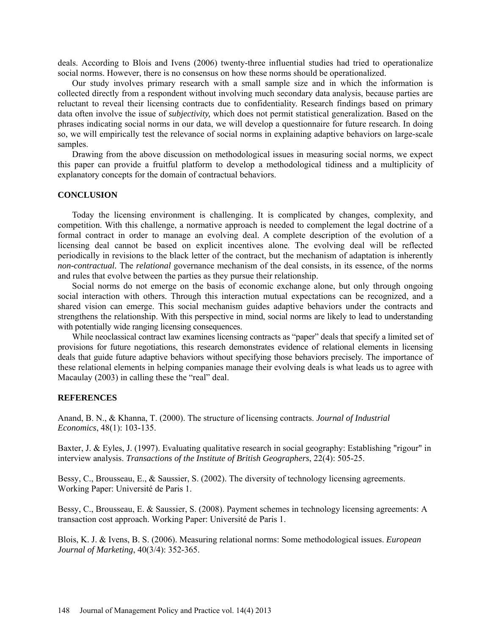deals. According to Blois and Ivens (2006) twenty-three influential studies had tried to operationalize social norms. However, there is no consensus on how these norms should be operationalized.

Our study involves primary research with a small sample size and in which the information is collected directly from a respondent without involving much secondary data analysis, because parties are reluctant to reveal their licensing contracts due to confidentiality. Research findings based on primary data often involve the issue of *subjectivity,* which does not permit statistical generalization. Based on the phrases indicating social norms in our data, we will develop a questionnaire for future research. In doing so, we will empirically test the relevance of social norms in explaining adaptive behaviors on large-scale samples.

Drawing from the above discussion on methodological issues in measuring social norms, we expect this paper can provide a fruitful platform to develop a methodological tidiness and a multiplicity of explanatory concepts for the domain of contractual behaviors.

#### **CONCLUSION**

Today the licensing environment is challenging. It is complicated by changes, complexity, and competition. With this challenge, a normative approach is needed to complement the legal doctrine of a formal contract in order to manage an evolving deal. A complete description of the evolution of a licensing deal cannot be based on explicit incentives alone. The evolving deal will be reflected periodically in revisions to the black letter of the contract, but the mechanism of adaptation is inherently *non-contractual.* The *relational* governance mechanism of the deal consists, in its essence, of the norms and rules that evolve between the parties as they pursue their relationship.

Social norms do not emerge on the basis of economic exchange alone, but only through ongoing social interaction with others. Through this interaction mutual expectations can be recognized, and a shared vision can emerge. This social mechanism guides adaptive behaviors under the contracts and strengthens the relationship. With this perspective in mind, social norms are likely to lead to understanding with potentially wide ranging licensing consequences.

While neoclassical contract law examines licensing contracts as "paper" deals that specify a limited set of provisions for future negotiations, this research demonstrates evidence of relational elements in licensing deals that guide future adaptive behaviors without specifying those behaviors precisely. The importance of these relational elements in helping companies manage their evolving deals is what leads us to agree with Macaulay (2003) in calling these the "real" deal.

#### **REFERENCES**

Anand, B. N., & Khanna, T. (2000). The structure of licensing contracts. *Journal of Industrial Economics*, 48(1): 103-135.

Baxter, J. & Eyles, J. (1997). Evaluating qualitative research in social geography: Establishing "rigour" in interview analysis. *Transactions of the Institute of British Geographers*, 22(4): 505-25.

Bessy, C., Brousseau, E., & Saussier, S. (2002). The diversity of technology licensing agreements. Working Paper: Université de Paris 1.

Bessy, C., Brousseau, E. & Saussier, S. (2008). Payment schemes in technology licensing agreements: A transaction cost approach. Working Paper: Université de Paris 1.

Blois, K. J. & Ivens, B. S. (2006). Measuring relational norms: Some methodological issues. *European Journal of Marketing*, 40(3/4): 352-365.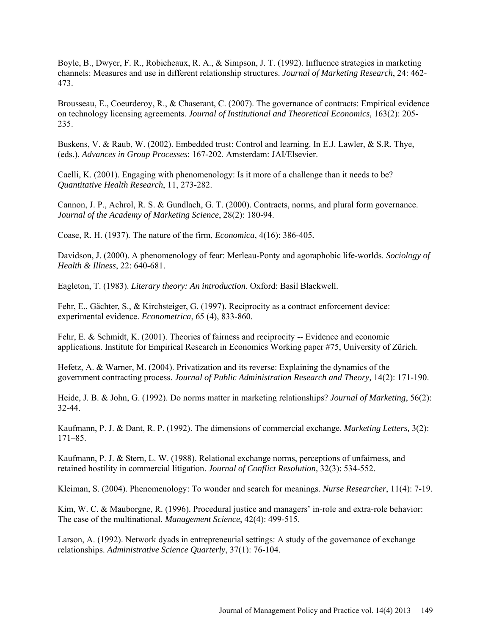Boyle, B., Dwyer, F. R., Robicheaux, R. A., & Simpson, J. T. (1992). Influence strategies in marketing channels: Measures and use in different relationship structures. *Journal of Marketing Research*, 24: 462- 473.

Brousseau, E., Coeurderoy, R., & Chaserant, C. (2007). The governance of contracts: Empirical evidence on technology licensing agreements. *Journal of Institutional and Theoretical Economics,* 163(2): 205- 235.

Buskens, V. & Raub, W. (2002). Embedded trust: Control and learning. In E.J. Lawler, & S.R. Thye, (eds.), *Advances in Group Processes*: 167-202. Amsterdam: JAI/Elsevier.

Caelli, K. (2001). Engaging with phenomenology: Is it more of a challenge than it needs to be? *Quantitative Health Research*, 11, 273-282.

Cannon, J. P., Achrol, R. S. & Gundlach, G. T. (2000). Contracts, norms, and plural form governance. *Journal of the Academy of Marketing Science*, 28(2): 180-94.

Coase*,* R. H. (1937)*.* The nature of the firm, *Economica*, 4(16): 386-405*.* 

Davidson, J. (2000). A phenomenology of fear: Merleau-Ponty and agoraphobic life-worlds. *Sociology of Health & Illness*, 22: 640-681.

Eagleton, T. (1983). *Literary theory: An introduction*. Oxford: Basil Blackwell.

Fehr, E., Gächter, S., & Kirchsteiger, G. (1997). Reciprocity as a contract enforcement device: experimental evidence. *Econometrica*, 65 (4), 833-860.

Fehr, E. & Schmidt, K. (2001). Theories of fairness and reciprocity -- Evidence and economic applications. Institute for Empirical Research in Economics Working paper #75, University of Zürich.

Hefetz, A. & Warner, M. (2004). Privatization and its reverse: Explaining the dynamics of the government contracting process. *Journal of Public Administration Research and Theory,* 14(2): 171-190.

Heide, J. B. & John, G. (1992). Do norms matter in marketing relationships? *Journal of Marketing*, 56(2): 32-44.

Kaufmann, P. J. & Dant, R. P. (1992). The dimensions of commercial exchange. *Marketing Letters,* 3(2): 171–85.

Kaufmann, P. J. & Stern, L. W. (1988). Relational exchange norms, perceptions of unfairness, and retained hostility in commercial litigation. *Journal of Conflict Resolution,* 32(3): 534-552.

Kleiman, S. (2004). Phenomenology: To wonder and search for meanings. *Nurse Researcher*, 11(4): 7-19.

Kim, W. C. & Mauborgne, R. (1996). Procedural justice and managers' in-role and extra-role behavior: The case of the multinational. *Management Science*, 42(4): 499-515.

Larson, A. (1992). Network dyads in entrepreneurial settings: A study of the governance of exchange relationships. *Administrative Science Quarterly*, 37(1): 76-104.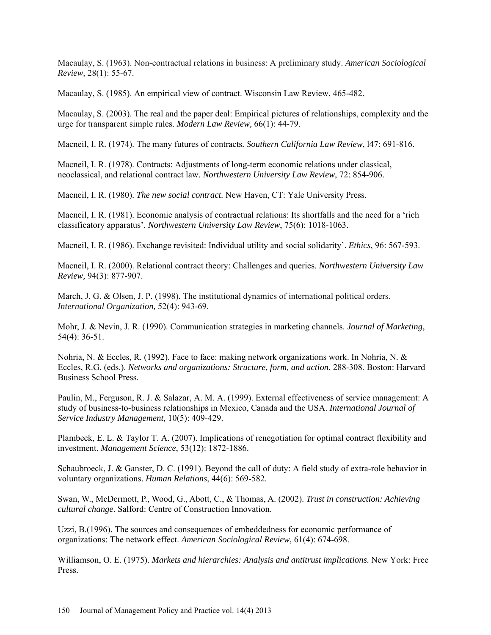Macaulay, S. (1963). Non-contractual relations in business: A preliminary study. *American Sociological Review,* 28(1): 55-67.

Macaulay, S. (1985). An empirical view of contract. Wisconsin Law Review, 465-482.

Macaulay, S. (2003). The real and the paper deal: Empirical pictures of relationships, complexity and the urge for transparent simple rules. *Modern Law Review,* 66(1): 44-79.

Macneil, I. R. (1974). The many futures of contracts*. Southern California Law Review*, l47: 691-816.

Macneil, I. R. (1978). Contracts: Adjustments of long-term economic relations under classical, neoclassical, and relational contract law. *Northwestern University Law Review*, 72: 854-906.

Macneil, I. R. (1980). *The new social contract*. New Haven, CT: Yale University Press.

Macneil, I. R. (1981). Economic analysis of contractual relations: Its shortfalls and the need for a 'rich classificatory apparatus'. *Northwestern University Law Review*, 75(6): 1018-1063.

Macneil, I. R. (1986). Exchange revisited: Individual utility and social solidarity'. *Ethics*, 96: 567-593.

Macneil, I. R. (2000). Relational contract theory: Challenges and queries. *Northwestern University Law Review,* 94(3): 877-907.

March, J. G. & Olsen, J. P. (1998). The institutional dynamics of international political orders. *International Organization,* 52(4): 943-69.

Mohr, J. & Nevin, J. R. (1990). Communication strategies in marketing channels. *Journal of Marketing*, 54(4): 36-51.

Nohria, N. & Eccles, R. (1992). Face to face: making network organizations work. In Nohria, N. & Eccles, R.G. (eds.). *Networks and organizations: Structure, form, and action*, 288-308*.* Boston: Harvard Business School Press.

Paulin, M., Ferguson, R. J. & Salazar, A. M. A. (1999). External effectiveness of service management: A study of business-to-business relationships in Mexico, Canada and the USA. *International Journal of Service Industry Management,* 10(5): 409-429.

Plambeck, E. L. & Taylor T. A. (2007). Implications of renegotiation for optimal contract flexibility and investment. *Management Science*, 53(12): 1872-1886.

Schaubroeck, J. & Ganster, D. C. (1991). Beyond the call of duty: A field study of extra-role behavior in voluntary organizations. *Human Relations*, 44(6): 569-582.

Swan, W., McDermott, P., Wood, G., Abott, C., & Thomas, A. (2002). *Trust in construction: Achieving cultural change*. Salford: Centre of Construction Innovation.

Uzzi, B.(1996). The sources and consequences of embeddedness for economic performance of organizations: The network effect. *American Sociological Review*, 61(4): 674-698.

Williamson, O. E. (1975). *Markets and hierarchies: Analysis and antitrust implications*. New York: Free Press.